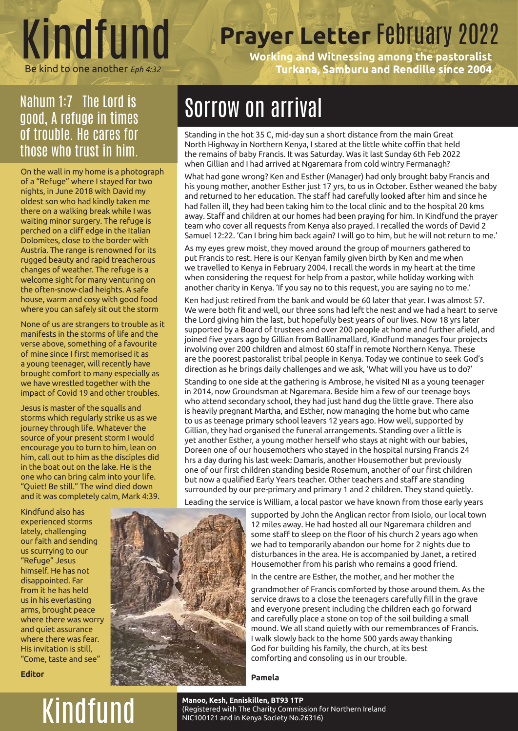

## **Prayer Letter** February 2022

**Working and Witnessing among the pastoralist**  Be kind to one another *Eph 4:32* **Turkana, Samburu and Rendille since 2004**

#### Nahum 1:7 The Lord is good, A refuge in times of trouble. He cares for those who trust in him.

On the wall in my home is a photograph of a "Refuge" where I stayed for two nights, in June 2018 with David my oldest son who had kindly taken me there on a walking break while I was waiting minor surgery. The refuge is perched on a cliff edge in the Italian Dolomites, close to the border with Austria. The range is renowned for its rugged beauty and rapid treacherous changes of weather. The refuge is a welcome sight for many venturing on the often-snow-clad heights. A safe house, warm and cosy with good food where you can safely sit out the storm

None of us are strangers to trouble as it manifests in the storms of life and the verse above, something of a favourite of mine since I first memorised it as a young teenager, will recently have brought comfort to many especially as we have wrestled together with the impact of Covid 19 and other troubles.

Jesus is master of the squalls and storms which regularly strike us as we journey through life. Whatever the source of your present storm I would encourage you to turn to him, lean on him, call out to him as the disciples did in the boat out on the lake. He is the one who can bring calm into your life. "Quiet! Be still." The wind died down and it was completely calm, Mark 4:39.

Kindfund also has experienced storms lately, challenging our faith and sending us scurrying to our "Refuge" Jesus himself. He has not disappointed. Far from it he has held us in his everlasting arms, brought peace where there was worry and quiet assurance where there was fear. His invitation is still, "Come, taste and see"

**Editor**

### Sorrow on arrival

Standing in the hot 35 C, mid-day sun a short distance from the main Great North Highway in Northern Kenya, I stared at the little white coffin that held the remains of baby Francis. It was Saturday. Was it last Sunday 6th Feb 2022 when Gillian and I had arrived at Ngaremara from cold wintry Fermanagh?

What had gone wrong? Ken and Esther (Manager) had only brought baby Francis and his young mother, another Esther just 17 yrs, to us in October. Esther weaned the baby and returned to her education. The staff had carefully looked after him and since he had fallen ill, they had been taking him to the local clinic and to the hospital 20 kms away. Staff and children at our homes had been praying for him. In Kindfund the prayer team who cover all requests from Kenya also prayed. I recalled the words of David 2 Samuel 12:22. 'Can I bring him back again? I will go to him, but he will not return to me.'

As my eyes grew moist, they moved around the group of mourners gathered to put Francis to rest. Here is our Kenyan family given birth by Ken and me when we travelled to Kenya in February 2004. I recall the words in my heart at the time when considering the request for help from a pastor, while holiday working with another charity in Kenya. 'If you say no to this request, you are saying no to me.'

Ken had just retired from the bank and would be 60 later that year. I was almost 57. We were both fit and well, our three sons had left the nest and we had a heart to serve the Lord giving him the last, but hopefully best years of our lives. Now 18 yrs later supported by a Board of trustees and over 200 people at home and further afield, and joined five years ago by Gillian from Ballinamallard, Kindfund manages four projects involving over 200 children and almost 60 staff in remote Northern Kenya. These are the poorest pastoralist tribal people in Kenya. Today we continue to seek God's direction as he brings daily challenges and we ask, 'What will you have us to do?'

Standing to one side at the gathering is Ambrose, he visited NI as a young teenager in 2014, now Groundsman at Ngaremara. Beside him a few of our teenage boys who attend secondary school, they had just hand dug the little grave. There also is heavily pregnant Martha, and Esther, now managing the home but who came to us as teenage primary school leavers 12 years ago. How well, supported by Gillian, they had organised the funeral arrangements. Standing over a little is yet another Esther, a young mother herself who stays at night with our babies, Doreen one of our housemothers who stayed in the hospital nursing Francis 24 hrs a day during his last week: Damaris, another Housemother but previously one of our first children standing beside Rosemum, another of our first children but now a qualified Early Years teacher. Other teachers and staff are standing surrounded by our pre-primary and primary 1 and 2 children. They stand quietly.

Leading the service is William, a local pastor we have known from those early years

supported by John the Anglican rector from Isiolo, our local town 12 miles away. He had hosted all our Ngaremara children and some staff to sleep on the floor of his church 2 years ago when we had to temporarily abandon our home for 2 nights due to disturbances in the area. He is accompanied by Janet, a retired Housemother from his parish who remains a good friend.

In the centre are Esther, the mother, and her mother the

grandmother of Francis comforted by those around them. As the service draws to a close the teenagers carefully fill in the grave and everyone present including the children each go forward and carefully place a stone on top of the soil building a small mound. We all stand quietly with our remembrances of Francis. I walk slowly back to the home 500 yards away thanking God for building his family, the church, at its best comforting and consoling us in our trouble.

**Pamela**

Manoo, Kesh, Enniskillen, BT93 1TP<br>Registered with The Charity Commis:<br>NIC100121 and in Kenya Society No.2 (Registered with The Charity Commission for Northern Ireland NIC100121 and in Kenya Society No.26316)